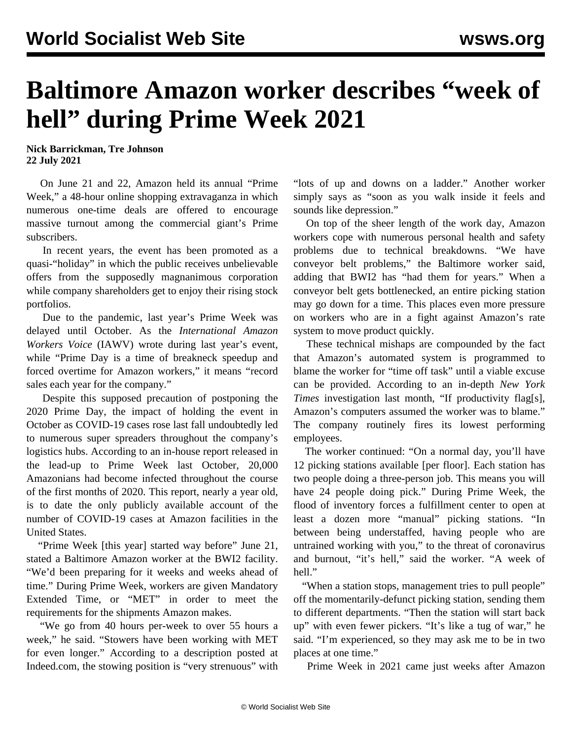## **Baltimore Amazon worker describes "week of hell" during Prime Week 2021**

**Nick Barrickman, Tre Johnson 22 July 2021**

 On June 21 and 22, Amazon held its annual "Prime Week," a 48-hour online shopping extravaganza in which numerous one-time deals are offered to encourage massive turnout among the commercial giant's Prime subscribers.

 In recent years, the event has been promoted as a quasi-"holiday" in which the public receives unbelievable offers from the supposedly magnanimous corporation while company shareholders get to enjoy their rising stock portfolios.

 Due to the pandemic, last year's Prime Week was delayed until October. As the *International Amazon Workers Voice* (IAWV) wrote during [last year's](/en/articles/2020/10/15/ama-o15.html) event, while "Prime Day is a time of breakneck speedup and forced overtime for Amazon workers," it means "record sales each year for the company."

 Despite this supposed precaution of postponing the 2020 Prime Day, the impact of holding the event in October as COVID-19 cases rose last fall undoubtedly led to numerous super spreaders throughout the company's logistics hubs. According to an in-house [report](/en/articles/2020/10/03/amaz-o03.html) released in the lead-up to Prime Week last October, 20,000 Amazonians had become infected throughout the course of the first months of 2020. This report, nearly a year old, is to date the only publicly available account of the number of COVID-19 cases at Amazon facilities in the United States.

 "Prime Week [this year] started way before" June 21, stated a Baltimore Amazon worker at the BWI2 facility. "We'd been preparing for it weeks and weeks ahead of time." During Prime Week, workers are given Mandatory Extended Time, or "MET" in order to meet the requirements for the shipments Amazon makes.

 "We go from 40 hours per-week to over 55 hours a week," he said. "Stowers have been working with MET for even longer." According to a description posted at Indeed.com, the stowing position is "very strenuous" with "lots of up and downs on a ladder." Another worker simply says as "soon as you walk inside it feels and sounds like depression."

 On top of the sheer length of the work day, Amazon workers cope with numerous personal health and safety problems due to technical breakdowns. "We have conveyor belt problems," the Baltimore worker said, adding that BWI2 has "had them for years." When a conveyor belt gets bottlenecked, an entire picking station may go down for a time. This places even more pressure on workers who are in a fight against Amazon's rate system to move product quickly.

 These technical mishaps are compounded by the fact that Amazon's automated system is programmed to blame the worker for "time off task" until a viable excuse can be provided. According to an in-depth *[New York](/en/articles/2021/06/28/amaz-j28.html) Times* [investigation last month,](/en/articles/2021/06/28/amaz-j28.html) "If productivity flag[s], Amazon's computers assumed the worker was to blame." The company routinely fires its lowest performing employees.

 The worker continued: "On a normal day, you'll have 12 picking stations available [per floor]. Each station has two people doing a three-person job. This means you will have 24 people doing pick." During Prime Week, the flood of inventory forces a fulfillment center to open at least a dozen more "manual" picking stations. "In between being understaffed, having people who are untrained working with you," to the threat of coronavirus and burnout, "it's hell," said the worker. "A week of hell."

 "When a station stops, management tries to pull people" off the momentarily-defunct picking station, sending them to different departments. "Then the station will start back up" with even fewer pickers. "It's like a tug of war," he said. "I'm experienced, so they may ask me to be in two places at one time."

Prime Week in 2021 came just weeks after Amazon